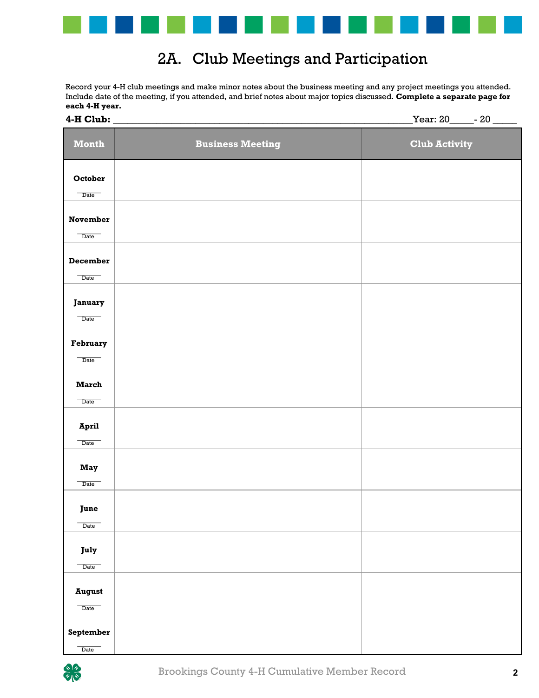

## 2A. Club Meetings and Participation

Record your 4-H club meetings and make minor notes about the business meeting and any project meetings you attended. Include date of the meeting, if you attended, and brief notes about major topics discussed. **Complete a separate page for each 4-H year.**

| 4-H Club:                                |                         | Year: 20______- 20 _<br>$\overline{\phantom{0}}$ |
|------------------------------------------|-------------------------|--------------------------------------------------|
| <b>Month</b>                             | <b>Business Meeting</b> | <b>Club Activity</b>                             |
| October<br>$\overline{\phantom{a}}$ Date |                         |                                                  |
| <b>November</b>                          |                         |                                                  |
| Date                                     |                         |                                                  |
| December<br>Date                         |                         |                                                  |
| January<br>Date                          |                         |                                                  |
| February                                 |                         |                                                  |
| Date<br><b>March</b>                     |                         |                                                  |
| Date                                     |                         |                                                  |
| April<br>$\overline{\text{Date}}$        |                         |                                                  |
| <b>May</b><br>Date                       |                         |                                                  |
| June<br>Date                             |                         |                                                  |
| July                                     |                         |                                                  |
| Date<br><b>August</b>                    |                         |                                                  |
| Date                                     |                         |                                                  |
| September<br>Date                        |                         |                                                  |